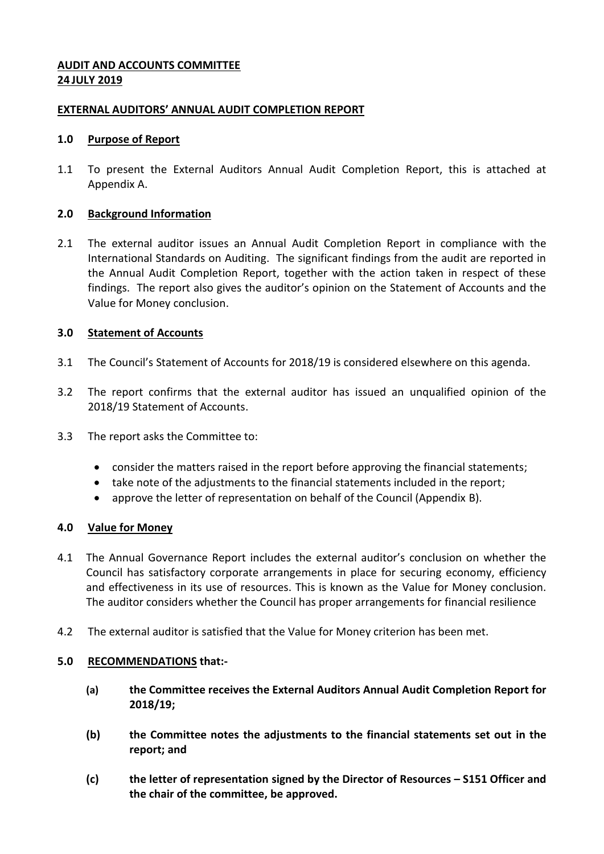## **AUDIT AND ACCOUNTS COMMITTEE 24 JULY 2019**

### **EXTERNAL AUDITORS' ANNUAL AUDIT COMPLETION REPORT**

#### **1.0 Purpose of Report**

1.1 To present the External Auditors Annual Audit Completion Report, this is attached at Appendix A.

#### **2.0 Background Information**

2.1 The external auditor issues an Annual Audit Completion Report in compliance with the International Standards on Auditing. The significant findings from the audit are reported in the Annual Audit Completion Report, together with the action taken in respect of these findings. The report also gives the auditor's opinion on the Statement of Accounts and the Value for Money conclusion.

#### **3.0 Statement of Accounts**

- 3.1 The Council's Statement of Accounts for 2018/19 is considered elsewhere on this agenda.
- 3.2 The report confirms that the external auditor has issued an unqualified opinion of the 2018/19 Statement of Accounts.
- 3.3 The report asks the Committee to:
	- consider the matters raised in the report before approving the financial statements;
	- take note of the adjustments to the financial statements included in the report;
	- approve the letter of representation on behalf of the Council (Appendix B).

#### **4.0 Value for Money**

- 4.1 The Annual Governance Report includes the external auditor's conclusion on whether the Council has satisfactory corporate arrangements in place for securing economy, efficiency and effectiveness in its use of resources. This is known as the Value for Money conclusion. The auditor considers whether the Council has proper arrangements for financial resilience
- 4.2 The external auditor is satisfied that the Value for Money criterion has been met.

#### **5.0 RECOMMENDATIONS that:-**

- **(a) the Committee receives the External Auditors Annual Audit Completion Report for 2018/19;**
- **(b) the Committee notes the adjustments to the financial statements set out in the report; and**
- **(c) the letter of representation signed by the Director of Resources – S151 Officer and the chair of the committee, be approved.**